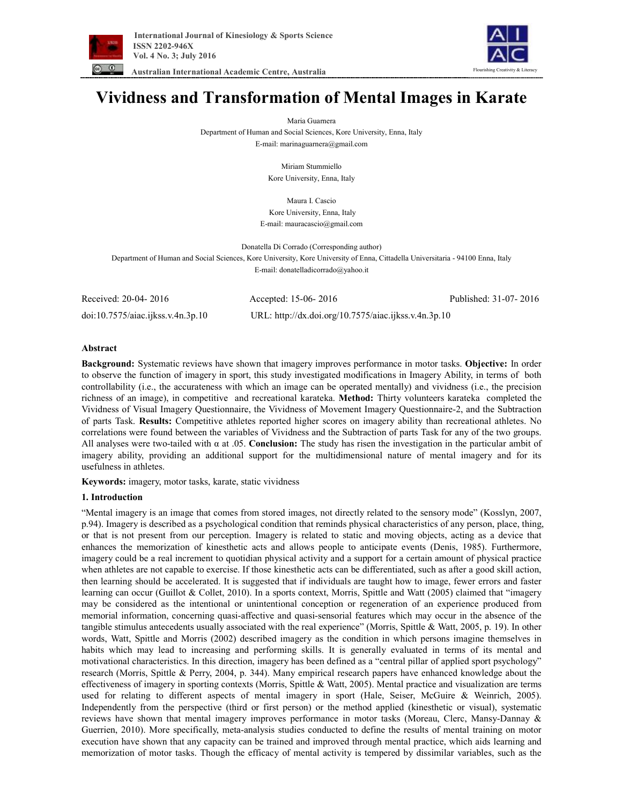

 **Australian International Academic Centre, Australia** 



# **Vividness and Transformation of Mental Images in Karate**

Maria Guarnera

Department of Human and Social Sciences, Kore University, Enna, Italy

E-mail: marinaguarnera@gmail.com

Miriam Stummiello Kore University, Enna, Italy

Maura I. Cascio Kore University, Enna, Italy E-mail: mauracascio@gmail.com

Donatella Di Corrado (Corresponding author) Department of Human and Social Sciences, Kore University, Kore University of Enna, Cittadella Universitaria - 94100 Enna, Italy E-mail: donatelladicorrado@yahoo.it

| Received: 20-04- 2016             | Accepted: 15-06-2016                                 | Published: 31-07-2016 |
|-----------------------------------|------------------------------------------------------|-----------------------|
| doi:10.7575/aiac.ijkss.v.4n.3p.10 | URL: http://dx.doi.org/10.7575/aiac.ijkss.v.4n.3p.10 |                       |

# **Abstract**

**Background:** Systematic reviews have shown that imagery improves performance in motor tasks. **Objective:** In order to observe the function of imagery in sport, this study investigated modifications in Imagery Ability, in terms of both controllability (i.e., the accurateness with which an image can be operated mentally) and vividness (i.e., the precision richness of an image), in competitive and recreational karateka. **Method:** Thirty volunteers karateka completed the Vividness of Visual Imagery Questionnaire, the Vividness of Movement Imagery Questionnaire-2, and the Subtraction of parts Task. **Results:** Competitive athletes reported higher scores on imagery ability than recreational athletes. No correlations were found between the variables of Vividness and the Subtraction of parts Task for any of the two groups. All analyses were two-tailed with α at .05. **Conclusion:** The study has risen the investigation in the particular ambit of imagery ability, providing an additional support for the multidimensional nature of mental imagery and for its usefulness in athletes.

**Keywords:** imagery, motor tasks, karate, static vividness

# **1. Introduction**

"Mental imagery is an image that comes from stored images, not directly related to the sensory mode" (Kosslyn, 2007, p.94). Imagery is described as a psychological condition that reminds physical characteristics of any person, place, thing, or that is not present from our perception. Imagery is related to static and moving objects, acting as a device that enhances the memorization of kinesthetic acts and allows people to anticipate events (Denis, 1985). Furthermore, imagery could be a real increment to quotidian physical activity and a support for a certain amount of physical practice when athletes are not capable to exercise. If those kinesthetic acts can be differentiated, such as after a good skill action, then learning should be accelerated. It is suggested that if individuals are taught how to image, fewer errors and faster learning can occur (Guillot & Collet, 2010). In a sports context, Morris, Spittle and Watt (2005) claimed that "imagery may be considered as the intentional or unintentional conception or regeneration of an experience produced from memorial information, concerning quasi-affective and quasi-sensorial features which may occur in the absence of the tangible stimulus antecedents usually associated with the real experience" (Morris, Spittle & Watt, 2005, p. 19). In other words, Watt, Spittle and Morris (2002) described imagery as the condition in which persons imagine themselves in habits which may lead to increasing and performing skills. It is generally evaluated in terms of its mental and motivational characteristics. In this direction, imagery has been defined as a "central pillar of applied sport psychology" research (Morris, Spittle & Perry, 2004, p. 344). Many empirical research papers have enhanced knowledge about the effectiveness of imagery in sporting contexts (Morris, Spittle & Watt, 2005). Mental practice and visualization are terms used for relating to different aspects of mental imagery in sport (Hale, Seiser, McGuire & Weinrich, 2005). Independently from the perspective (third or first person) or the method applied (kinesthetic or visual), systematic reviews have shown that mental imagery improves performance in motor tasks (Moreau, Clerc, Mansy-Dannay & Guerrien, 2010). More specifically, meta-analysis studies conducted to define the results of mental training on motor execution have shown that any capacity can be trained and improved through mental practice, which aids learning and memorization of motor tasks. Though the efficacy of mental activity is tempered by dissimilar variables, such as the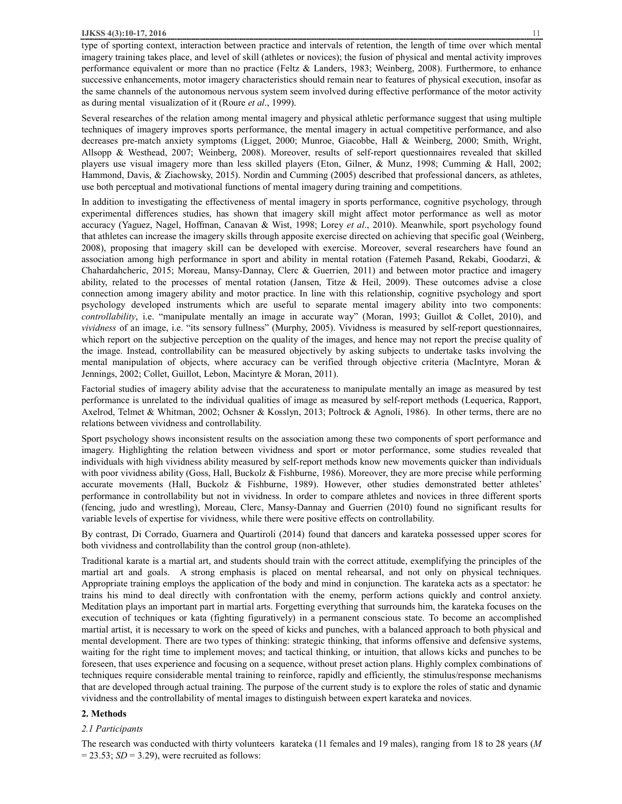type of sporting context, interaction between practice and intervals of retention, the length of time over which mental imagery training takes place, and level of skill (athletes or novices); the fusion of physical and mental activity improves performance equivalent or more than no practice (Feltz & Landers, 1983; Weinberg, 2008). Furthermore, to enhance successive enhancements, motor imagery characteristics should remain near to features of physical execution, insofar as the same channels of the autonomous nervous system seem involved during effective performance of the motor activity as during mental visualization of it (Roure *et al*., 1999).

Several researches of the relation among mental imagery and physical athletic performance suggest that using multiple techniques of imagery improves sports performance, the mental imagery in actual competitive performance, and also decreases pre-match anxiety symptoms (Ligget, 2000; Munroe, Giacobbe, Hall & Weinberg, 2000; Smith, Wright, Allsopp & Westhead, 2007; Weinberg, 2008). Moreover, results of self-report questionnaires revealed that skilled players use visual imagery more than less skilled players (Eton, Gilner, & Munz, 1998; Cumming & Hall, 2002; Hammond, Davis, & Ziachowsky, 2015). Nordin and Cumming (2005) described that professional dancers, as athletes, use both perceptual and motivational functions of mental imagery during training and competitions.

In addition to investigating the effectiveness of mental imagery in sports performance, cognitive psychology, through experimental differences studies, has shown that imagery skill might affect motor performance as well as motor accuracy (Yaguez, Nagel, Hoffman, Canavan & Wist, 1998; Lorey *et al*., 2010). Meanwhile, sport psychology found that athletes can increase the imagery skills through apposite exercise directed on achieving that specific goal (Weinberg, 2008), proposing that imagery skill can be developed with exercise. Moreover, several researchers have found an association among high performance in sport and ability in mental rotation (Fatemeh Pasand, Rekabi, Goodarzi, & Chahardahcheric, 2015; Moreau, Mansy-Dannay, Clerc & Guerrien, 2011) and between motor practice and imagery ability, related to the processes of mental rotation (Jansen, Titze & Heil, 2009). These outcomes advise a close connection among imagery ability and motor practice. In line with this relationship, cognitive psychology and sport psychology developed instruments which are useful to separate mental imagery ability into two components: *controllability*, i.e. "manipulate mentally an image in accurate way" (Moran, 1993; Guillot & Collet, 2010), and *vividness* of an image, i.e. "its sensory fullness" (Murphy, 2005). Vividness is measured by self-report questionnaires, which report on the subjective perception on the quality of the images, and hence may not report the precise quality of the image. Instead, controllability can be measured objectively by asking subjects to undertake tasks involving the mental manipulation of objects, where accuracy can be verified through objective criteria (MacIntyre, Moran & Jennings, 2002; Collet, Guillot, Lebon, Macintyre & Moran, 2011).

Factorial studies of imagery ability advise that the accurateness to manipulate mentally an image as measured by test performance is unrelated to the individual qualities of image as measured by self-report methods (Lequerica, Rapport, Axelrod, Telmet & Whitman, 2002; Ochsner & Kosslyn, 2013; Poltrock & Agnoli, 1986). In other terms, there are no relations between vividness and controllability.

Sport psychology shows inconsistent results on the association among these two components of sport performance and imagery. Highlighting the relation between vividness and sport or motor performance, some studies revealed that individuals with high vividness ability measured by self-report methods know new movements quicker than individuals with poor vividness ability (Goss, Hall, Buckolz & Fishburne, 1986). Moreover, they are more precise while performing accurate movements (Hall, Buckolz & Fishburne, 1989). However, other studies demonstrated better athletes' performance in controllability but not in vividness. In order to compare athletes and novices in three different sports (fencing, judo and wrestling), Moreau, Clerc, Mansy-Dannay and Guerrien (2010) found no significant results for variable levels of expertise for vividness, while there were positive effects on controllability.

By contrast, Di Corrado, Guarnera and Quartiroli (2014) found that dancers and karateka possessed upper scores for both vividness and controllability than the control group (non-athlete).

Traditional karate is a martial art, and students should train with the correct attitude, exemplifying the principles of the martial art and goals. A strong emphasis is placed on mental rehearsal, and not only on physical techniques. Appropriate training employs the application of the body and mind in conjunction. The karateka acts as a spectator: he trains his mind to deal directly with confrontation with the enemy, perform actions quickly and control anxiety. Meditation plays an important part in martial arts. Forgetting everything that surrounds him, the karateka focuses on the execution of techniques or kata (fighting figuratively) in a permanent conscious state. To become an accomplished martial artist, it is necessary to work on the speed of kicks and punches, with a balanced approach to both physical and mental development. There are two types of thinking: strategic thinking, that informs offensive and defensive systems, waiting for the right time to implement moves; and tactical thinking, or intuition, that allows kicks and punches to be foreseen, that uses experience and focusing on a sequence, without preset action plans. Highly complex combinations of techniques require considerable mental training to reinforce, rapidly and efficiently, the stimulus/response mechanisms that are developed through actual training. The purpose of the current study is to explore the roles of static and dynamic vividness and the controllability of mental images to distinguish between expert karateka and novices.

## **2. Methods**

#### *2.1 Participants*

The research was conducted with thirty volunteers karateka (11 females and 19 males), ranging from 18 to 28 years (*M*  $= 23.53$ ; *SD* = 3.29), were recruited as follows: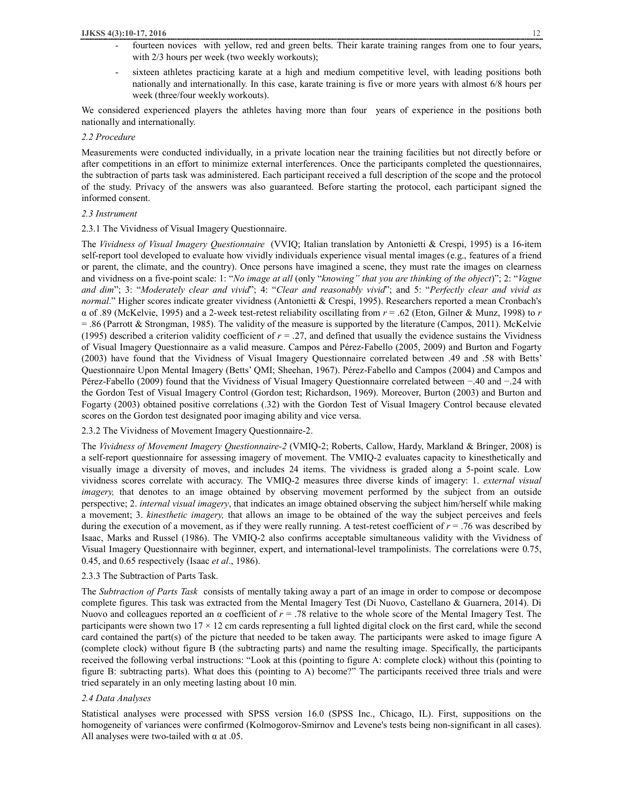- fourteen novices with yellow, red and green belts. Their karate training ranges from one to four years, with  $2/3$  hours per week (two weekly workouts);
- sixteen athletes practicing karate at a high and medium competitive level, with leading positions both nationally and internationally. In this case, karate training is five or more years with almost 6/8 hours per week (three/four weekly workouts).

We considered experienced players the athletes having more than four years of experience in the positions both nationally and internationally.

## *2.2 Procedure*

Measurements were conducted individually, in a private location near the training facilities but not directly before or after competitions in an effort to minimize external interferences. Once the participants completed the questionnaires, the subtraction of parts task was administered. Each participant received a full description of the scope and the protocol of the study. Privacy of the answers was also guaranteed. Before starting the protocol, each participant signed the informed consent.

# *2.3 Instrument*

2.3.1 The Vividness of Visual Imagery Questionnaire.

The *Vividness of Visual Imagery Questionnaire* (VVIQ; Italian translation by Antonietti & Crespi, 1995) is a 16-item self-report tool developed to evaluate how vividly individuals experience visual mental images (e.g., features of a friend or parent, the climate, and the country). Once persons have imagined a scene, they must rate the images on clearness and vividness on a five-point scale: 1: "*No image at all* (only "*knowing" that you are thinking of the object*)"; 2: "*Vague and dim*"; 3: "*Moderately clear and vivid*"; 4: "*Clear and reasonably vivid*"; and 5: "*Perfectly clear and vivid as normal*." Higher scores indicate greater vividness (Antonietti & Crespi, 1995). Researchers reported a mean Cronbach's α of .89 (McKelvie, 1995) and a 2-week test-retest reliability oscillating from *r* = .62 (Eton, Gilner & Munz, 1998) to *r* = .86 (Parrott & Strongman, 1985). The validity of the measure is supported by the literature (Campos, 2011). McKelvie (1995) described a criterion validity coefficient of  $r = .27$ , and defined that usually the evidence sustains the Vividness of Visual Imagery Questionnaire as a valid measure. Campos and Pérez-Fabello (2005, 2009) and Burton and Fogarty (2003) have found that the Vividness of Visual Imagery Questionnaire correlated between .49 and .58 with Betts' Questionnaire Upon Mental Imagery (Betts' QMI; Sheehan, 1967). Pérez-Fabello and Campos (2004) and Campos and Pérez-Fabello (2009) found that the Vividness of Visual Imagery Questionnaire correlated between −.40 and −.24 with the Gordon Test of Visual Imagery Control (Gordon test; Richardson, 1969). Moreover, Burton (2003) and Burton and Fogarty (2003) obtained positive correlations (.32) with the Gordon Test of Visual Imagery Control because elevated scores on the Gordon test designated poor imaging ability and vice versa.

# 2.3.2 The Vividness of Movement Imagery Questionnaire-2.

The *Vividness of Movement Imagery Questionnaire-2* (VMIQ-2; Roberts, Callow, Hardy, Markland & Bringer, 2008) is a self-report questionnaire for assessing imagery of movement. The VMIQ-2 evaluates capacity to kinesthetically and visually image a diversity of moves, and includes 24 items. The vividness is graded along a 5-point scale. Low vividness scores correlate with accuracy. The VMIQ-2 measures three diverse kinds of imagery: 1. *external visual imagery*, that denotes to an image obtained by observing movement performed by the subject from an outside perspective; 2. *internal visual imagery*, that indicates an image obtained observing the subject him/herself while making a movement; 3. *kinesthetic imagery,* that allows an image to be obtained of the way the subject perceives and feels during the execution of a movement, as if they were really running. A test-retest coefficient of  $r = .76$  was described by Isaac, Marks and Russel (1986). The VMIQ-2 also confirms acceptable simultaneous validity with the Vividness of Visual Imagery Questionnaire with beginner, expert, and international-level trampolinists. The correlations were 0.75, 0.45, and 0.65 respectively (Isaac *et al*., 1986).

## 2.3.3 The Subtraction of Parts Task.

The *Subtraction of Parts Task* consists of mentally taking away a part of an image in order to compose or decompose complete figures. This task was extracted from the Mental Imagery Test (Di Nuovo, Castellano & Guarnera, 2014). Di Nuovo and colleagues reported an α coefficient of *r* = .78 relative to the whole score of the Mental Imagery Test. The participants were shown two  $17 \times 12$  cm cards representing a full lighted digital clock on the first card, while the second card contained the part(s) of the picture that needed to be taken away. The participants were asked to image figure A (complete clock) without figure B (the subtracting parts) and name the resulting image. Specifically, the participants received the following verbal instructions: "Look at this (pointing to figure A: complete clock) without this (pointing to figure B: subtracting parts). What does this (pointing to A) become?" The participants received three trials and were tried separately in an only meeting lasting about 10 min.

#### *2.4 Data Analyses*

Statistical analyses were processed with SPSS version 16.0 (SPSS Inc., Chicago, IL). First, suppositions on the homogeneity of variances were confirmed (Kolmogorov-Smirnov and Levene's tests being non-significant in all cases). All analyses were two-tailed with  $\alpha$  at .05.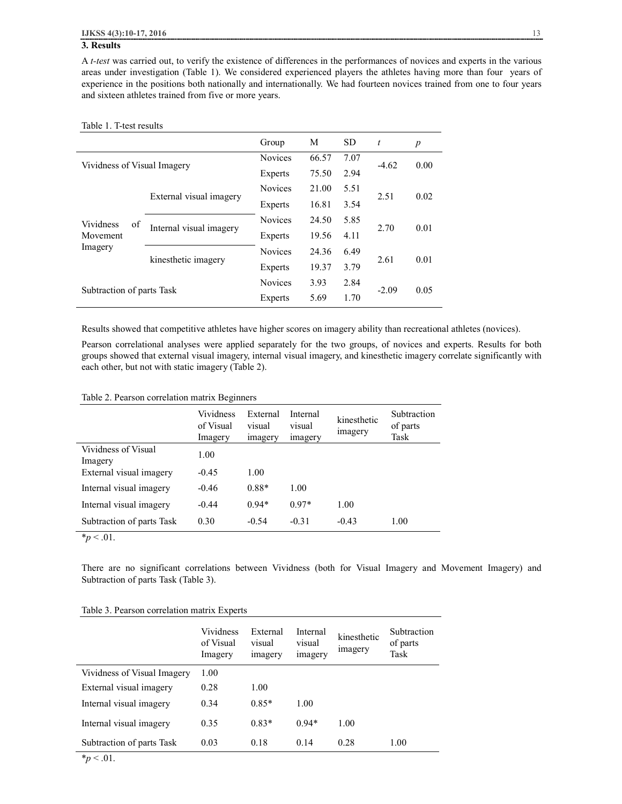## **3. Results**

A *t-test* was carried out, to verify the existence of differences in the performances of novices and experts in the various areas under investigation (Table 1). We considered experienced players the athletes having more than four years of experience in the positions both nationally and internationally. We had fourteen novices trained from one to four years and sixteen athletes trained from five or more years.

#### Table 1. T-test results

|                                        |                         | Group          | М     | <b>SD</b> | $\boldsymbol{t}$ | $\boldsymbol{p}$ |
|----------------------------------------|-------------------------|----------------|-------|-----------|------------------|------------------|
| Vividness of Visual Imagery            |                         | <b>Novices</b> | 66.57 | 7.07      | $-4.62$          | 0.00             |
|                                        |                         | Experts        | 75.50 | 2.94      |                  |                  |
| Vividness<br>of<br>Movement<br>Imagery | External visual imagery | <b>Novices</b> | 21.00 | 5.51      | 2.51             | 0.02             |
|                                        |                         | Experts        | 16.81 | 3.54      |                  |                  |
|                                        | Internal visual imagery | <b>Novices</b> | 24.50 | 5.85      | 2.70             | 0.01             |
|                                        |                         | Experts        | 19.56 | 4.11      |                  |                  |
|                                        | kinesthetic imagery     | <b>Novices</b> | 24.36 | 6.49      | 2.61             | 0.01             |
|                                        |                         | Experts        | 19.37 | 3.79      |                  |                  |
| Subtraction of parts Task              |                         | <b>Novices</b> | 3.93  | 2.84      |                  | 0.05             |
|                                        |                         | Experts        | 5.69  | 1.70      | $-2.09$          |                  |

Results showed that competitive athletes have higher scores on imagery ability than recreational athletes (novices).

Pearson correlational analyses were applied separately for the two groups, of novices and experts. Results for both groups showed that external visual imagery, internal visual imagery, and kinesthetic imagery correlate significantly with each other, but not with static imagery (Table 2).

#### Table 2. Pearson correlation matrix Beginners

|                                | <b>Vividness</b><br>of Visual<br>Imagery | External<br>visual<br>imagery | Internal<br>visual<br>imagery | kinesthetic<br>imagery | Subtraction<br>of parts<br>Task |
|--------------------------------|------------------------------------------|-------------------------------|-------------------------------|------------------------|---------------------------------|
| Vividness of Visual<br>Imagery | 1.00                                     |                               |                               |                        |                                 |
| External visual imagery        | $-0.45$                                  | 1.00                          |                               |                        |                                 |
| Internal visual imagery        | $-0.46$                                  | $0.88*$                       | 1.00                          |                        |                                 |
| Internal visual imagery        | $-0.44$                                  | $0.94*$                       | $0.97*$                       | 1.00                   |                                 |
| Subtraction of parts Task      | 0.30                                     | $-0.54$                       | $-0.31$                       | $-0.43$                | 1.00                            |

 $*_{p}$  < .01.

There are no significant correlations between Vividness (both for Visual Imagery and Movement Imagery) and Subtraction of parts Task (Table 3).

|  |  | Table 3. Pearson correlation matrix Experts |  |  |
|--|--|---------------------------------------------|--|--|
|--|--|---------------------------------------------|--|--|

|                                                            | Vividness<br>of Visual<br>Imagery | External<br>visual<br>imagery | Internal<br>visual<br>imagery | kinesthetic<br>imagery | Subtraction<br>of parts<br>Task |
|------------------------------------------------------------|-----------------------------------|-------------------------------|-------------------------------|------------------------|---------------------------------|
| Vividness of Visual Imagery                                | 1.00                              |                               |                               |                        |                                 |
| External visual imagery                                    | 0.28                              | 1.00                          |                               |                        |                                 |
| Internal visual imagery                                    | 0.34                              | $0.85*$                       | 1.00                          |                        |                                 |
| Internal visual imagery                                    | 0.35                              | $0.83*$                       | $0.94*$                       | 1.00                   |                                 |
| Subtraction of parts Task<br>$\mathbf{a}$ and $\mathbf{a}$ | 0.03                              | 0.18                          | 0.14                          | 0.28                   | 1.00                            |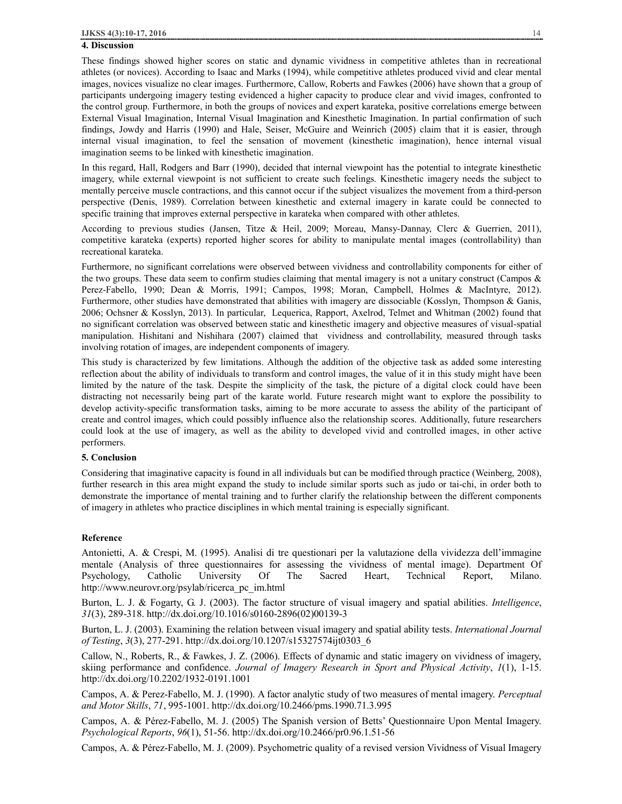#### **4. Discussion**

These findings showed higher scores on static and dynamic vividness in competitive athletes than in recreational athletes (or novices). According to Isaac and Marks (1994), while competitive athletes produced vivid and clear mental images, novices visualize no clear images. Furthermore, Callow, Roberts and Fawkes (2006) have shown that a group of participants undergoing imagery testing evidenced a higher capacity to produce clear and vivid images, confronted to the control group. Furthermore, in both the groups of novices and expert karateka, positive correlations emerge between External Visual Imagination, Internal Visual Imagination and Kinesthetic Imagination. In partial confirmation of such findings, Jowdy and Harris (1990) and Hale, Seiser, McGuire and Weinrich (2005) claim that it is easier, through internal visual imagination, to feel the sensation of movement (kinesthetic imagination), hence internal visual imagination seems to be linked with kinesthetic imagination.

In this regard, Hall, Rodgers and Barr (1990), decided that internal viewpoint has the potential to integrate kinesthetic imagery, while external viewpoint is not sufficient to create such feelings. Kinesthetic imagery needs the subject to mentally perceive muscle contractions, and this cannot occur if the subject visualizes the movement from a third-person perspective (Denis, 1989). Correlation between kinesthetic and external imagery in karate could be connected to specific training that improves external perspective in karateka when compared with other athletes.

According to previous studies (Jansen, Titze & Heil, 2009; Moreau, Mansy-Dannay, Clerc & Guerrien, 2011), competitive karateka (experts) reported higher scores for ability to manipulate mental images (controllability) than recreational karateka.

Furthermore, no significant correlations were observed between vividness and controllability components for either of the two groups. These data seem to confirm studies claiming that mental imagery is not a unitary construct (Campos & Perez-Fabello, 1990; Dean & Morris, 1991; Campos, 1998; Moran, Campbell, Holmes & MacIntyre, 2012). Furthermore, other studies have demonstrated that abilities with imagery are dissociable (Kosslyn, Thompson & Ganis, 2006; Ochsner & Kosslyn, 2013). In particular, Lequerica, Rapport, Axelrod, Telmet and Whitman (2002) found that no significant correlation was observed between static and kinesthetic imagery and objective measures of visual-spatial manipulation. Hishitani and Nishihara (2007) claimed that vividness and controllability, measured through tasks involving rotation of images, are independent components of imagery.

This study is characterized by few limitations. Although the addition of the objective task as added some interesting reflection about the ability of individuals to transform and control images, the value of it in this study might have been limited by the nature of the task. Despite the simplicity of the task, the picture of a digital clock could have been distracting not necessarily being part of the karate world. Future research might want to explore the possibility to develop activity-specific transformation tasks, aiming to be more accurate to assess the ability of the participant of create and control images, which could possibly influence also the relationship scores. Additionally, future researchers could look at the use of imagery, as well as the ability to developed vivid and controlled images, in other active performers.

#### **5. Conclusion**

Considering that imaginative capacity is found in all individuals but can be modified through practice (Weinberg, 2008), further research in this area might expand the study to include similar sports such as judo or tai-chi, in order both to demonstrate the importance of mental training and to further clarify the relationship between the different components of imagery in athletes who practice disciplines in which mental training is especially significant.

#### **Reference**

Antonietti, A. & Crespi, M. (1995). Analisi di tre questionari per la valutazione della vividezza dell'immagine mentale (Analysis of three questionnaires for assessing the vividness of mental image). Department Of Psychology, Catholic University Of The Sacred Heart, Technical Report, Milano. http://www.neurovr.org/psylab/ricerca\_pc\_im.html

Burton, L. J. & Fogarty, G. J. (2003). The factor structure of visual imagery and spatial abilities. *Intelligence*, *31*(3), 289-318. http://dx.doi.org/10.1016/s0160-2896(02)00139-3

Burton, L. J. (2003). Examining the relation between visual imagery and spatial ability tests. *International Journal of Testing*, *3*(3), 277-291. http://dx.doi.org/10.1207/s15327574ijt0303\_6

Callow, N., Roberts, R., & Fawkes, J. Z. (2006). Effects of dynamic and static imagery on vividness of imagery, skiing performance and confidence. *Journal of Imagery Research in Sport and Physical Activity*, *1*(1), 1-15. http://dx.doi.org/10.2202/1932-0191.1001

Campos, A. & Perez-Fabello, M. J. (1990). A factor analytic study of two measures of mental imagery. *Perceptual and Motor Skills*, *71*, 995-1001. http://dx.doi.org/10.2466/pms.1990.71.3.995

Campos, A. & Pérez-Fabello, M. J. (2005) The Spanish version of Betts' Questionnaire Upon Mental Imagery. *Psychological Reports*, *96*(1), 51-56. http://dx.doi.org/10.2466/pr0.96.1.51-56

Campos, A. & Pérez-Fabello, M. J. (2009). Psychometric quality of a revised version Vividness of Visual Imagery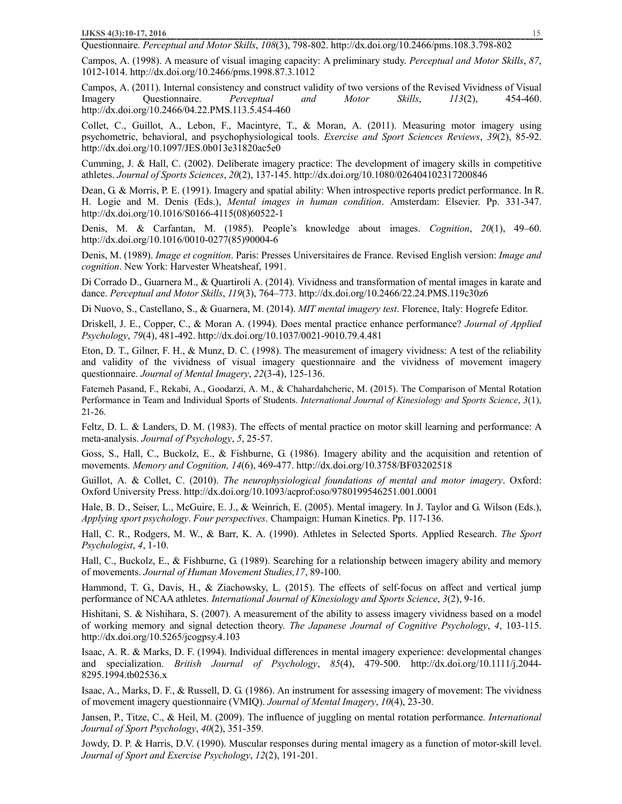Questionnaire. *Perceptual and Motor Skills*, *108*(3), 798-802. http://dx.doi.org/10.2466/pms.108.3.798-802

Campos, A. (1998). A measure of visual imaging capacity: A preliminary study. *Perceptual and Motor Skills*, *87*, 1012-1014. http://dx.doi.org/10.2466/pms.1998.87.3.1012

Campos, A. (2011). Internal consistency and construct validity of two versions of the Revised Vividness of Visual Imagery Questionnaire. *Perceptual and Motor Skills*, *113*(2), 454-460. http://dx.doi.org/10.2466/04.22.PMS.113.5.454-460

Collet, C., Guillot, A., Lebon, F., Macintyre, T., & Moran, A. (2011). Measuring motor imagery using psychometric, behavioral, and psychophysiological tools. *Exercise and Sport Sciences Reviews*, *39*(2), 85-92. http://dx.doi.org/10.1097/JES.0b013e31820ac5e0

Cumming, J. & Hall, C. (2002). Deliberate imagery practice: The development of imagery skills in competitive athletes. *Journal of Sports Sciences*, *20*(2), 137-145. http://dx.doi.org/10.1080/026404102317200846

Dean, G. & Morris, P. E. (1991). Imagery and spatial ability: When introspective reports predict performance. In R. H. Logie and M. Denis (Eds.), *Mental images in human condition*. Amsterdam: Elsevier. Pp. 331-347. http://dx.doi.org/10.1016/S0166-4115(08)60522-1

Denis, M. & Carfantan, M. (1985). People's knowledge about images. *Cognition*, *20*(1), 49–60. http://dx.doi.org/10.1016/0010-0277(85)90004-6

Denis, M. (1989). *Image et cognition*. Paris: Presses Universitaires de France. Revised English version: *Image and cognition*. New York: Harvester Wheatsheaf, 1991.

Di Corrado D., Guarnera M., & Quartiroli A. (2014). Vividness and transformation of mental images in karate and dance. *Perceptual and Motor Skills*, *119*(3), 764–773. http://dx.doi.org/10.2466/22.24.PMS.119c30z6

Di Nuovo, S., Castellano, S., & Guarnera, M. (2014). *MIT mental imagery test*. Florence, Italy: Hogrefe Editor.

Driskell, J. E., Copper, C., & Moran A. (1994). Does mental practice enhance performance? *Journal of Applied Psychology*, *79*(4), 481-492. http://dx.doi.org/10.1037/0021-9010.79.4.481

Eton, D. T., Gilner, F. H., & Munz, D. C. (1998). The measurement of imagery vividness: A test of the reliability and validity of the vividness of visual imagery questionnaire and the vividness of movement imagery questionnaire. *Journal of Mental Imagery*, *22*(3-4), 125-136.

Fatemeh Pasand, F., Rekabi, A., Goodarzi, A. M., & Chahardahcheric, M. (2015). The Comparison of Mental Rotation Performance in Team and Individual Sports of Students. *International Journal of Kinesiology and Sports Science*, *3*(1), 21-26.

Feltz, D. L. & Landers, D. M. (1983). The effects of mental practice on motor skill learning and performance: A meta-analysis. *Journal of Psychology*, *5*, 25-57.

Goss, S., Hall, C., Buckolz, E., & Fishburne, G. (1986). Imagery ability and the acquisition and retention of movements. *Memory and Cognition, 14*(6), 469-477. http://dx.doi.org/10.3758/BF03202518

Guillot, A. & Collet, C. (2010). *The neurophysiological foundations of mental and motor imagery*. Oxford: Oxford University Press. http://dx.doi.org/10.1093/acprof:oso/9780199546251.001.0001

Hale, B. D., Seiser, L., McGuire, E. J., & Weinrich, E. (2005). Mental imagery. In J. Taylor and G. Wilson (Eds.), *Applying sport psychology*. *Four perspectives*. Champaign: Human Kinetics. Pp. 117-136.

Hall, C. R., Rodgers, M. W., & Barr, K. A. (1990). Athletes in Selected Sports. Applied Research. *The Sport Psychologist*, *4*, 1-10.

Hall, C., Buckolz, E., & Fishburne, G. (1989). Searching for a relationship between imagery ability and memory of movements. *Journal of Human Movement Studies,17*, 89-100.

Hammond, T. G., Davis, H., & Ziachowsky, L. (2015). The effects of self-focus on affect and vertical jump performance of NCAA athletes. *International Journal of Kinesiology and Sports Science*, *3*(2), 9-16.

Hishitani, S. & Nishihara, S. (2007). A measurement of the ability to assess imagery vividness based on a model of working memory and signal detection theory. *The Japanese Journal of Cognitive Psychology*, *4*, 103-115. http://dx.doi.org/10.5265/jcogpsy.4.103

Isaac, A. R. & Marks, D. F. (1994). Individual differences in mental imagery experience: developmental changes and specialization. *British Journal of Psychology*, *85*(4), 479-500. http://dx.doi.org/10.1111/j.2044- 8295.1994.tb02536.x

Isaac, A., Marks, D. F., & Russell, D. G. (1986). An instrument for assessing imagery of movement: The vividness of movement imagery questionnaire (VMIQ). *Journal of Mental Imagery*, *10*(4), 23-30.

Jansen, P., Titze, C., & Heil, M. (2009). The influence of juggling on mental rotation performance. *International Journal of Sport Psychology*, *40*(2), 351-359.

Jowdy, D. P. & Harris, D.V. (1990). Muscular responses during mental imagery as a function of motor-skill level. *Journal of Sport and Exercise Psychology*, *12*(2), 191-201.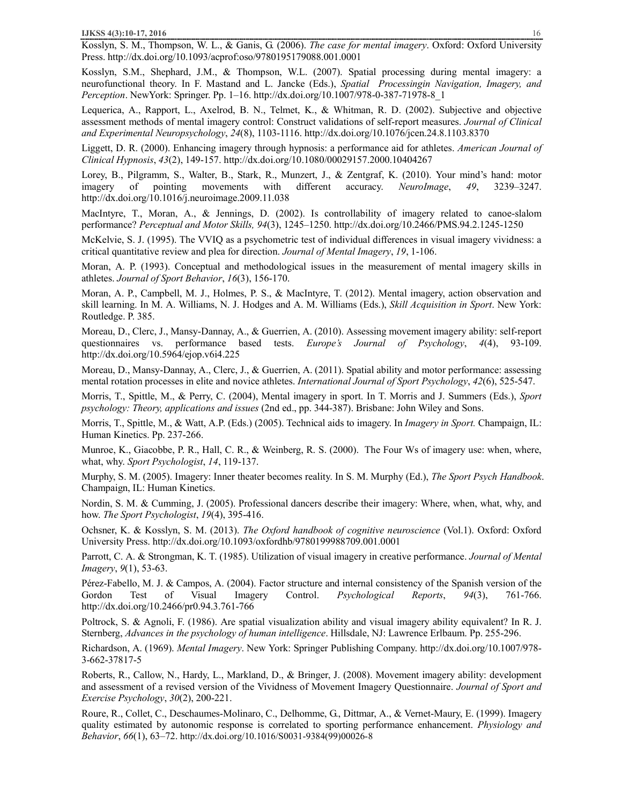Kosslyn, S. M., Thompson, W. L., & Ganis, G. (2006). *The case for mental imagery*. Oxford: Oxford University Press. http://dx.doi.org/10.1093/acprof:oso/9780195179088.001.0001

Kosslyn, S.M., Shephard, J.M., & Thompson, W.L. (2007). Spatial processing during mental imagery: a neurofunctional theory. In F. Mastand and L. Jancke (Eds.), *Spatial Processingin Navigation, Imagery, and Perception*. NewYork: Springer. Pp. 1–16. http://dx.doi.org/10.1007/978-0-387-71978-8\_1

Lequerica, A., Rapport, L., Axelrod, B. N., Telmet, K., & Whitman, R. D. (2002). Subjective and objective assessment methods of mental imagery control: Construct validations of self-report measures. *Journal of Clinical and Experimental Neuropsychology*, *24*(8), 1103-1116. http://dx.doi.org/10.1076/jcen.24.8.1103.8370

Liggett, D. R. (2000). Enhancing imagery through hypnosis: a performance aid for athletes. *American Journal of Clinical Hypnosis*, *43*(2), 149-157. http://dx.doi.org/10.1080/00029157.2000.10404267

Lorey, B., Pilgramm, S., Walter, B., Stark, R., Munzert, J., & Zentgraf, K. (2010). Your mind's hand: motor imagery of pointing movements with different accuracy. *NeuroImage*, *49*, 3239–3247. http://dx.doi.org/10.1016/j.neuroimage.2009.11.038

MacIntyre, T., Moran, A., & Jennings, D. (2002). Is controllability of imagery related to canoe-slalom performance? *Perceptual and Motor Skills, 94*(3), 1245–1250. http://dx.doi.org/10.2466/PMS.94.2.1245-1250

McKelvie, S. J. (1995). The VVIQ as a psychometric test of individual differences in visual imagery vividness: a critical quantitative review and plea for direction. *Journal of Mental Imagery*, *19*, 1-106.

Moran, A. P. (1993). Conceptual and methodological issues in the measurement of mental imagery skills in athletes. *Journal of Sport Behavior*, *16*(3), 156-170.

Moran, A. P., Campbell, M. J., Holmes, P. S., & MacIntyre, T. (2012). Mental imagery, action observation and skill learning. In M. A. Williams, N. J. Hodges and A. M. Williams (Eds.), *Skill Acquisition in Sport*. New York: Routledge. P. 385.

Moreau, D., Clerc, J., Mansy-Dannay, A., & Guerrien, A. (2010). Assessing movement imagery ability: self-report questionnaires vs. performance based tests. *Europe's Journal of Psychology*, *4*(4), 93-109. http://dx.doi.org/10.5964/ejop.v6i4.225

Moreau, D., Mansy-Dannay, A., Clerc, J., & Guerrien, A. (2011). Spatial ability and motor performance: assessing mental rotation processes in elite and novice athletes. *International Journal of Sport Psychology*, *42*(6), 525-547.

Morris, T., Spittle, M., & Perry, C. (2004), Mental imagery in sport. In T. Morris and J. Summers (Eds.), *Sport psychology: Theory, applications and issues* (2nd ed., pp. 344-387). Brisbane: John Wiley and Sons.

Morris, T., Spittle, M., & Watt, A.P. (Eds.) (2005). Technical aids to imagery. In *Imagery in Sport.* Champaign, IL: Human Kinetics. Pp. 237-266.

Munroe, K., Giacobbe, P. R., Hall, C. R., & Weinberg, R. S. (2000). The Four Ws of imagery use: when, where, what, why. *Sport Psychologist*, *14*, 119-137.

Murphy, S. M. (2005). Imagery: Inner theater becomes reality. In S. M. Murphy (Ed.), *The Sport Psych Handbook*. Champaign, IL: Human Kinetics.

Nordin, S. M. & Cumming, J. (2005). Professional dancers describe their imagery: Where, when, what, why, and how. *The Sport Psychologist*, *19*(4), 395-416.

Ochsner, K. & Kosslyn, S. M. (2013). *The Oxford handbook of cognitive neuroscience* (Vol.1). Oxford: Oxford University Press. http://dx.doi.org/10.1093/oxfordhb/9780199988709.001.0001

Parrott, C. A. & Strongman, K. T. (1985). Utilization of visual imagery in creative performance. *Journal of Mental Imagery*, *9*(1), 53-63.

Pérez-Fabello, M. J. & Campos, A. (2004). Factor structure and internal consistency of the Spanish version of the Gordon Test of Visual Imagery Control. *Psychological Reports*, *94*(3), 761-766. http://dx.doi.org/10.2466/pr0.94.3.761-766

Poltrock, S. & Agnoli, F. (1986). Are spatial visualization ability and visual imagery ability equivalent? In R. J. Sternberg, *Advances in the psychology of human intelligence*. Hillsdale, NJ: Lawrence Erlbaum. Pp. 255-296.

Richardson, A. (1969). *Mental Imagery*. New York: Springer Publishing Company. http://dx.doi.org/10.1007/978- 3-662-37817-5

Roberts, R., Callow, N., Hardy, L., Markland, D., & Bringer, J. (2008). Movement imagery ability: development and assessment of a revised version of the Vividness of Movement Imagery Questionnaire. *Journal of Sport and Exercise Psychology*, *30*(2), 200-221.

Roure, R., Collet, C., Deschaumes-Molinaro, C., Delhomme, G., Dittmar, A., & Vernet-Maury, E. (1999). Imagery quality estimated by autonomic response is correlated to sporting performance enhancement. *Physiology and Behavior*, *66*(1), 63–72. http://dx.doi.org/10.1016/S0031-9384(99)00026-8